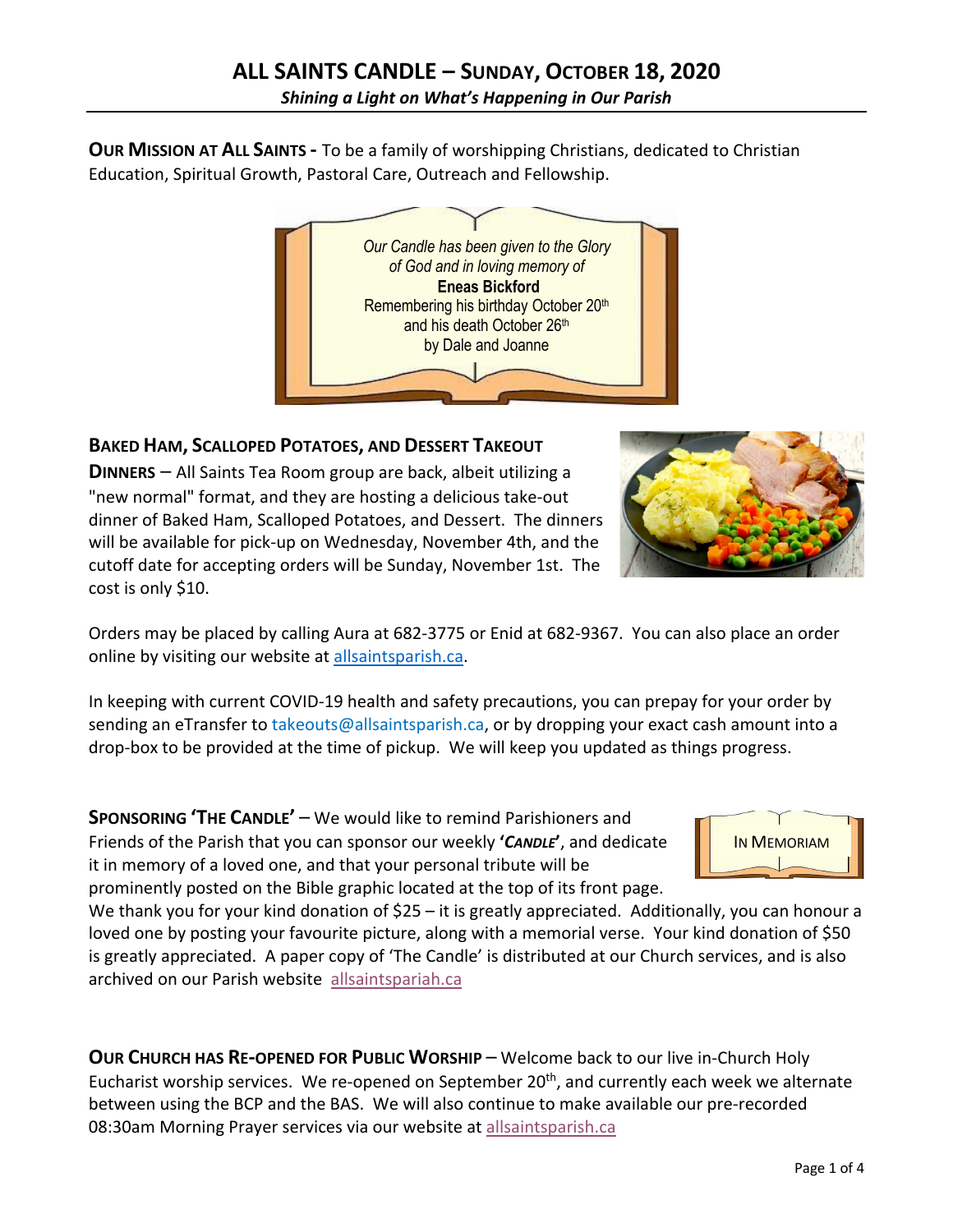*Our Candle has been given to the Glory of God and in loving memory of* **Eneas Bickford** Remembering his birthday October 20<sup>th</sup> and his death October 26th by Dale and Joanne

**OUR MISSION AT ALL SAINTS -** To be a family of worshipping Christians, dedicated to Christian Education, Spiritual Growth, Pastoral Care, Outreach and Fellowship.



## **BAKED HAM, SCALLOPED POTATOES, AND DESSERT TAKEOUT**

**DINNERS** – All Saints Tea Room group are back, albeit utilizing a "new normal" format, and they are hosting a delicious take-out dinner of Baked Ham, Scalloped Potatoes, and Dessert. The dinners will be available for pick-up on Wednesday, November 4th, and the cutoff date for accepting orders will be Sunday, November 1st. The cost is only \$10.

Orders may be placed by calling Aura at 682-3775 or Enid at 682-9367. You can also place an order online by visiting our website at allsaintsparish.ca.

In keeping with current COVID-19 health and safety precautions, you can prepay for your order by sending an eTransfer to takeouts@allsaintsparish.ca, or by dropping your exact cash amount into a drop-box to be provided at the time of pickup. We will keep you updated as things progress.

**SPONSORING 'THE CANDLE'** – We would like to remind Parishioners and Friends of the Parish that you can sponsor our weekly **'***CANDLE***'**, and dedicate it in memory of a loved one, and that your personal tribute will be prominently posted on the Bible graphic located at the top of its front page.

We thank you for your kind donation of \$25 – it is greatly appreciated. Additionally, you can honour a loved one by posting your favourite picture, along with a memorial verse. Your kind donation of \$50 is greatly appreciated. A paper copy of 'The Candle' is distributed at our Church services, and is also archived on our Parish website allsaintspariah.ca

**OUR CHURCH HAS RE-OPENED FOR PUBLIC WORSHIP** – Welcome back to our live in-Church Holy Eucharist worship services. We re-opened on September 20<sup>th</sup>, and currently each week we alternate between using the BCP and the BAS. We will also continue to make available our pre-recorded 08:30am Morning Prayer services via our website at allsaintsparish.ca



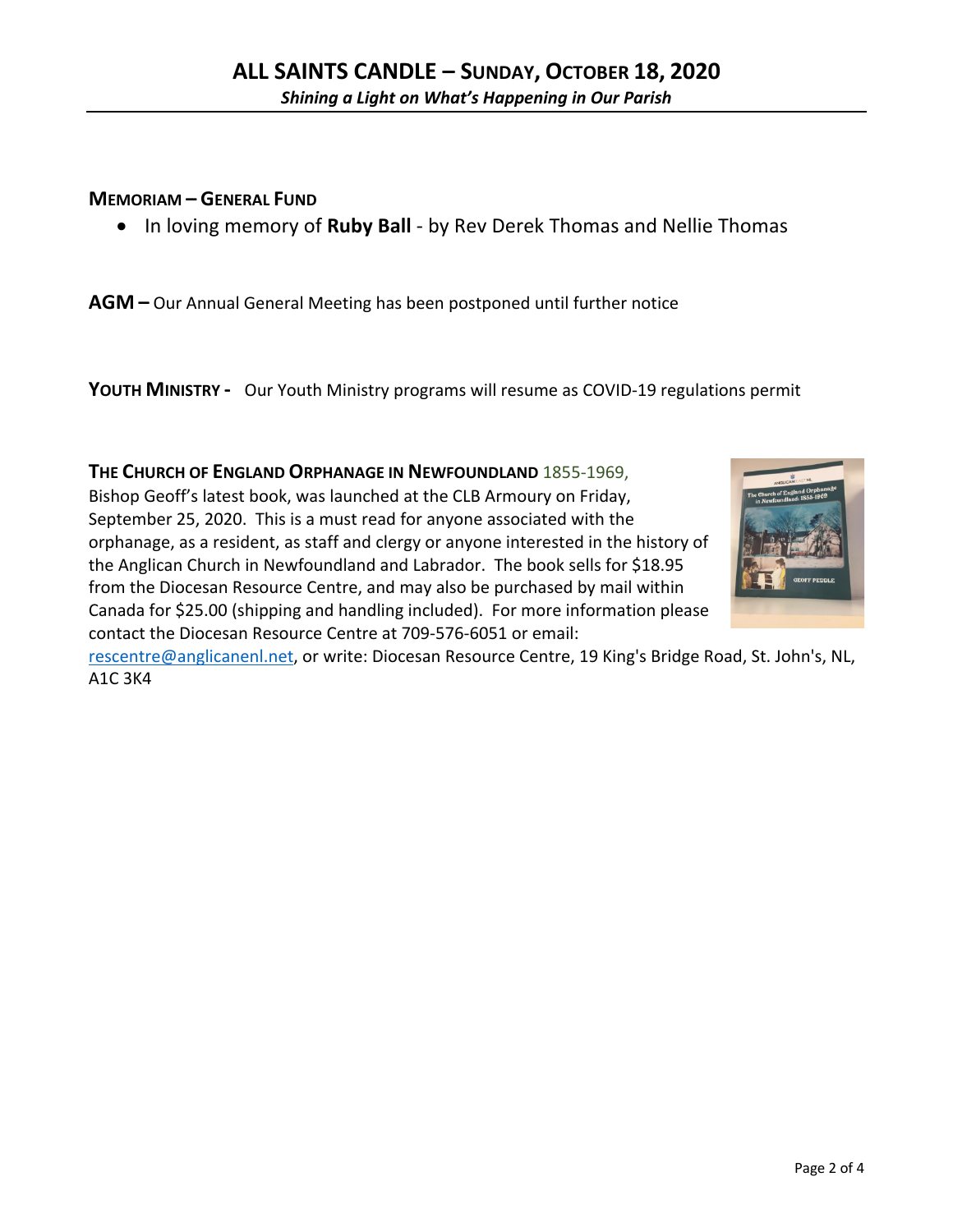### **MEMORIAM – GENERAL FUND**

• In loving memory of **Ruby Ball** - by Rev Derek Thomas and Nellie Thomas

**AGM –** Our Annual General Meeting has been postponed until further notice

**YOUTH MINISTRY -** Our Youth Ministry programs will resume as COVID-19 regulations permit

**THE CHURCH OF ENGLAND ORPHANAGE IN NEWFOUNDLAND** 1855-1969, Bishop Geoff's latest book, was launched at the CLB Armoury on Friday, September 25, 2020. This is a must read for anyone associated with the orphanage, as a resident, as staff and clergy or anyone interested in the history of the Anglican Church in Newfoundland and Labrador. The book sells for \$18.95 from the Diocesan Resource Centre, and may also be purchased by mail within Canada for \$25.00 (shipping and handling included). For more information please contact the Diocesan Resource Centre at 709-576-6051 or email:



rescentre@anglicanenl.net, or write: Diocesan Resource Centre, 19 King's Bridge Road, St. John's, NL, A1C 3K4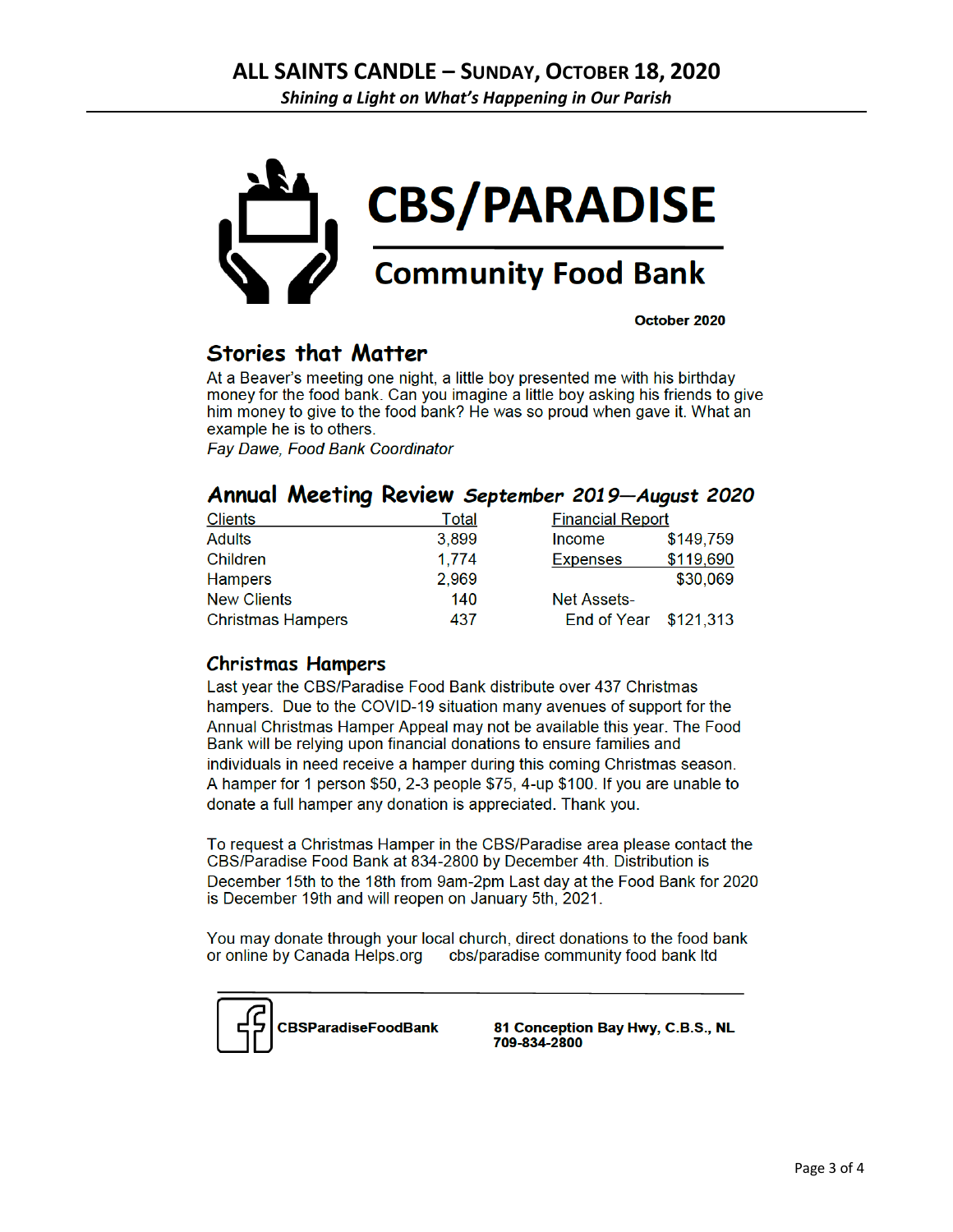

October 2020

## **Stories that Matter**

At a Beaver's meeting one night, a little boy presented me with his birthday money for the food bank. Can you imagine a little boy asking his friends to give him money to give to the food bank? He was so proud when gave it. What an example he is to others.

Fay Dawe, Food Bank Coordinator

### Annual Meeting Review September 2019–August 2020

| <b>Clients</b>           | Total | <b>Financial Report</b> |           |
|--------------------------|-------|-------------------------|-----------|
| <b>Adults</b>            | 3,899 | Income                  | \$149,759 |
| Children                 | 1.774 | <b>Expenses</b>         | \$119,690 |
| <b>Hampers</b>           | 2,969 |                         | \$30,069  |
| <b>New Clients</b>       | 140   | <b>Net Assets-</b>      |           |
| <b>Christmas Hampers</b> | 437   | End of Year \$121,313   |           |

#### **Christmas Hampers**

Last year the CBS/Paradise Food Bank distribute over 437 Christmas hampers. Due to the COVID-19 situation many avenues of support for the Annual Christmas Hamper Appeal may not be available this year. The Food Bank will be relying upon financial donations to ensure families and individuals in need receive a hamper during this coming Christmas season. A hamper for 1 person \$50, 2-3 people \$75, 4-up \$100. If you are unable to donate a full hamper any donation is appreciated. Thank you.

To request a Christmas Hamper in the CBS/Paradise area please contact the CBS/Paradise Food Bank at 834-2800 by December 4th. Distribution is December 15th to the 18th from 9am-2pm Last day at the Food Bank for 2020 is December 19th and will reopen on January 5th, 2021.

You may donate through your local church, direct donations to the food bank cbs/paradise community food bank Itd or online by Canada Helps.org



81 Conception Bay Hwy, C.B.S., NL